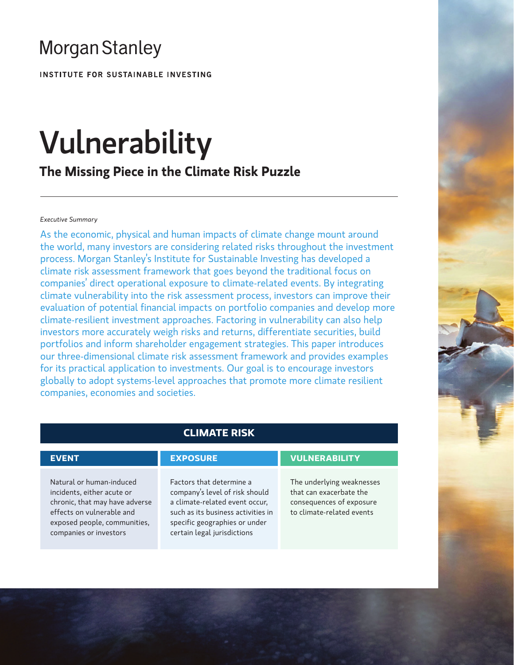# **Morgan Stanley**

INSTITUTE FOR SUSTAINABLE INVESTING

# Vulnerability

**The Missing Piece in the Climate Risk Puzzle**

# *Executive Summary*

As the economic, physical and human impacts of climate change mount around the world, many investors are considering related risks throughout the investment process. Morgan Stanley's Institute for Sustainable Investing has developed a climate risk assessment framework that goes beyond the traditional focus on companies' direct operational exposure to climate-related events. By integrating climate vulnerability into the risk assessment process, investors can improve their evaluation of potential financial impacts on portfolio companies and develop more climate-resilient investment approaches. Factoring in vulnerability can also help investors more accurately weigh risks and returns, differentiate securities, build portfolios and inform shareholder engagement strategies. This paper introduces our three-dimensional climate risk assessment framework and provides examples for its practical application to investments. Our goal is to encourage investors globally to adopt systems-level approaches that promote more climate resilient companies, economies and societies.

Natural or human-induced incidents, either acute or chronic, that may have adverse effects on vulnerable and exposed people, communities, companies or investors

# **CLIMATE RISK**

Factors that determine a company's level of risk should a climate-related event occur, such as its business activities in specific geographies or under certain legal jurisdictions

# **EVENT EXPOSURE VULNERABILITY**

The underlying weaknesses that can exacerbate the consequences of exposure to climate-related events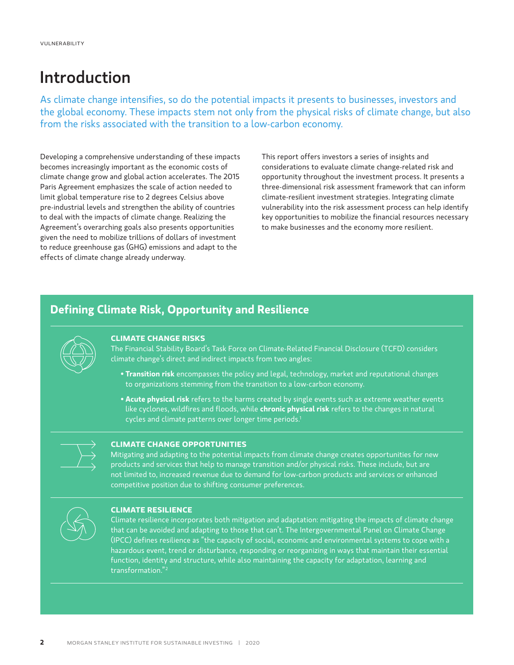# Introduction

As climate change intensifies, so do the potential impacts it presents to businesses, investors and the global economy. These impacts stem not only from the physical risks of climate change, but also from the risks associated with the transition to a low-carbon economy.

Developing a comprehensive understanding of these impacts becomes increasingly important as the economic costs of climate change grow and global action accelerates. The 2015 Paris Agreement emphasizes the scale of action needed to limit global temperature rise to 2 degrees Celsius above pre-industrial levels and strengthen the ability of countries to deal with the impacts of climate change. Realizing the Agreement's overarching goals also presents opportunities given the need to mobilize trillions of dollars of investment to reduce greenhouse gas (GHG) emissions and adapt to the effects of climate change already underway.

This report offers investors a series of insights and considerations to evaluate climate change-related risk and opportunity throughout the investment process. It presents a three-dimensional risk assessment framework that can inform climate-resilient investment strategies. Integrating climate vulnerability into the risk assessment process can help identify key opportunities to mobilize the financial resources necessary to make businesses and the economy more resilient.

# **Defining Climate Risk, Opportunity and Resilience**



# **CLIMATE CHANGE RISKS**

The Financial Stability Board's Task Force on Climate-Related Financial Disclosure (TCFD) considers climate change's direct and indirect impacts from two angles:

- **Transition risk** encompasses the policy and legal, technology, market and reputational changes to organizations stemming from the transition to a low-carbon economy.
- **Acute physical risk** refers to the harms created by single events such as extreme weather events like cyclones, wildfires and floods, while **chronic physical risk** refers to the changes in natural cycles and climate patterns over longer time periods.<sup>1</sup>



# **CLIMATE CHANGE OPPORTUNITIES**

Mitigating and adapting to the potential impacts from climate change creates opportunities for new products and services that help to manage transition and/or physical risks. These include, but are not limited to, increased revenue due to demand for low-carbon products and services or enhanced competitive position due to shifting consumer preferences.



# **CLIMATE RESILIENCE**

Climate resilience incorporates both mitigation and adaptation: mitigating the impacts of climate change that can be avoided and adapting to those that can't. The Intergovernmental Panel on Climate Change (IPCC) defines resilience as "the capacity of social, economic and environmental systems to cope with a hazardous event, trend or disturbance, responding or reorganizing in ways that maintain their essential function, identity and structure, while also maintaining the capacity for adaptation, learning and transformation."<sup>2</sup>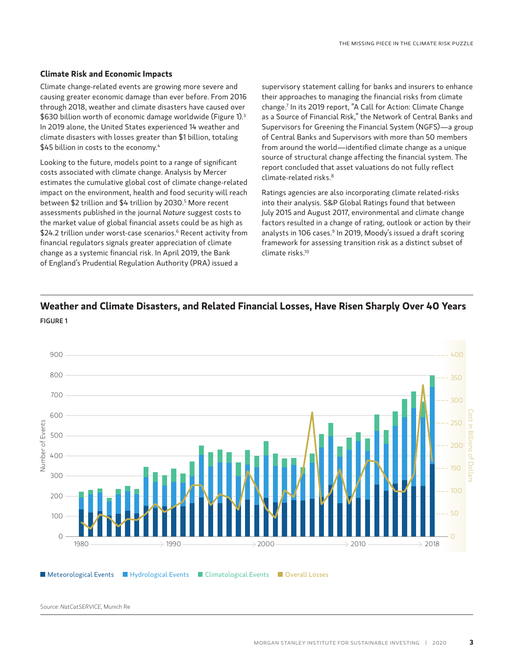# **Climate Risk and Economic Impacts**

Climate change-related events are growing more severe and causing greater economic damage than ever before. From 2016 through 2018, weather and climate disasters have caused over \$630 billion worth of economic damage worldwide (Figure 1).<sup>3</sup> In 2019 alone, the United States experienced 14 weather and climate disasters with losses greater than \$1 billion, totaling \$45 billion in costs to the economy.<sup>4</sup>

Looking to the future, models point to a range of significant costs associated with climate change. Analysis by Mercer estimates the cumulative global cost of climate change-related impact on the environment, health and food security will reach between \$2 trillion and \$4 trillion by 2030.5 More recent assessments published in the journal *Nature* suggest costs to the market value of global financial assets could be as high as \$24.2 trillion under worst-case scenarios.6 Recent activity from financial regulators signals greater appreciation of climate change as a systemic financial risk. In April 2019, the Bank of England's Prudential Regulation Authority (PRA) issued a

supervisory statement calling for banks and insurers to enhance their approaches to managing the financial risks from climate change.7 In its 2019 report, "A Call for Action: Climate Change as a Source of Financial Risk," the Network of Central Banks and Supervisors for Greening the Financial System (NGFS)—a group of Central Banks and Supervisors with more than 50 members from around the world—identified climate change as a unique source of structural change affecting the financial system. The report concluded that asset valuations do not fully reflect climate-related risks.8

Ratings agencies are also incorporating climate related-risks into their analysis. S&P Global Ratings found that between July 2015 and August 2017, environmental and climate change factors resulted in a change of rating, outlook or action by their analysts in 106 cases.<sup>9</sup> In 2019, Moody's issued a draft scoring framework for assessing transition risk as a distinct subset of climate risks.10





Source: *NatCatSERVICE*, Munich Re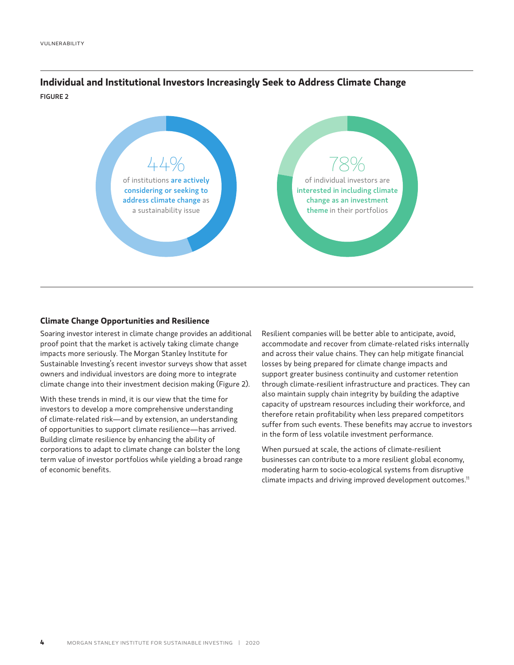**Individual and Institutional Investors Increasingly Seek to Address Climate Change** FIGURE 2



# **Climate Change Opportunities and Resilience**

Soaring investor interest in climate change provides an additional proof point that the market is actively taking climate change impacts more seriously. The Morgan Stanley Institute for Sustainable Investing's recent investor surveys show that asset owners and individual investors are doing more to integrate climate change into their investment decision making (Figure 2).

With these trends in mind, it is our view that the time for investors to develop a more comprehensive understanding of climate-related risk—and by extension, an understanding of opportunities to support climate resilience—has arrived. Building climate resilience by enhancing the ability of corporations to adapt to climate change can bolster the long term value of investor portfolios while yielding a broad range of economic benefits.

Resilient companies will be better able to anticipate, avoid, accommodate and recover from climate-related risks internally and across their value chains. They can help mitigate financial losses by being prepared for climate change impacts and support greater business continuity and customer retention through climate-resilient infrastructure and practices. They can also maintain supply chain integrity by building the adaptive capacity of upstream resources including their workforce, and therefore retain profitability when less prepared competitors suffer from such events. These benefits may accrue to investors in the form of less volatile investment performance.

When pursued at scale, the actions of climate-resilient businesses can contribute to a more resilient global economy, moderating harm to socio-ecological systems from disruptive climate impacts and driving improved development outcomes.<sup>11</sup>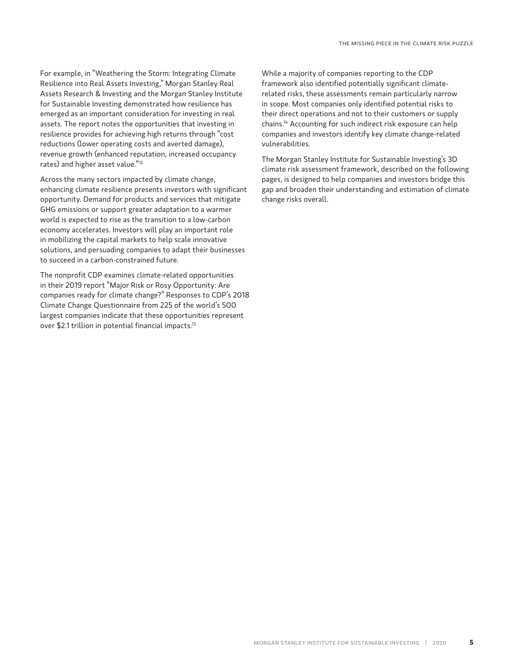For example, in "Weathering the Storm: Integrating Climate Resilience into Real Assets Investing," Morgan Stanley Real Assets Research & Investing and the Morgan Stanley Institute for Sustainable Investing demonstrated how resilience has emerged as an important consideration for investing in real assets. The report notes the opportunities that investing in resilience provides for achieving high returns through "cost reductions (lower operating costs and averted damage), revenue growth (enhanced reputation, increased occupancy rates) and higher asset value."12

Across the many sectors impacted by climate change, enhancing climate resilience presents investors with significant opportunity. Demand for products and services that mitigate GHG emissions or support greater adaptation to a warmer world is expected to rise as the transition to a low-carbon economy accelerates. Investors will play an important role in mobilizing the capital markets to help scale innovative solutions, and persuading companies to adapt their businesses to succeed in a carbon-constrained future.

The nonprofit CDP examines climate-related opportunities in their 2019 report "Major Risk or Rosy Opportunity: Are companies ready for climate change?" Responses to CDP's 2018 Climate Change Questionnaire from 225 of the world's 500 largest companies indicate that these opportunities represent over \$2.1 trillion in potential financial impacts.13

While a majority of companies reporting to the CDP framework also identified potentially significant climaterelated risks, these assessments remain particularly narrow in scope. Most companies only identified potential risks to their direct operations and not to their customers or supply chains.14 Accounting for such indirect risk exposure can help companies and investors identify key climate change-related vulnerabilities.

The Morgan Stanley Institute for Sustainable Investing's 3D climate risk assessment framework, described on the following pages, is designed to help companies and investors bridge this gap and broaden their understanding and estimation of climate change risks overall.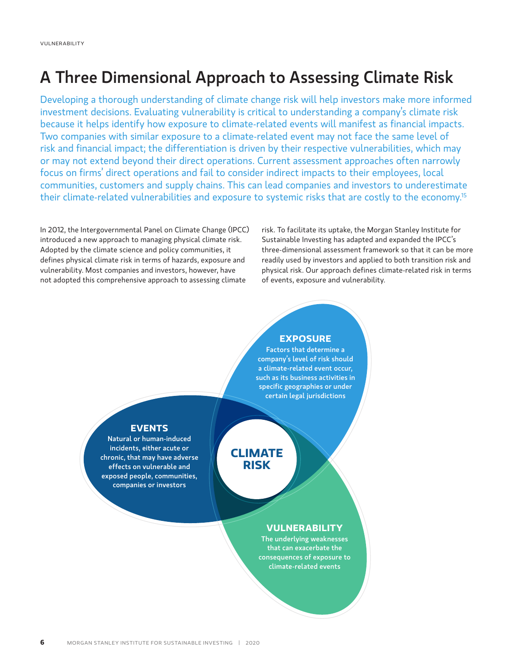# A Three Dimensional Approach to Assessing Climate Risk

Developing a thorough understanding of climate change risk will help investors make more informed investment decisions. Evaluating vulnerability is critical to understanding a company's climate risk because it helps identify how exposure to climate-related events will manifest as financial impacts. Two companies with similar exposure to a climate-related event may not face the same level of risk and financial impact; the differentiation is driven by their respective vulnerabilities, which may or may not extend beyond their direct operations. Current assessment approaches often narrowly focus on firms' direct operations and fail to consider indirect impacts to their employees, local communities, customers and supply chains. This can lead companies and investors to underestimate their climate-related vulnerabilities and exposure to systemic risks that are costly to the economy.15

> **CLIMATE RISK**

In 2012, the Intergovernmental Panel on Climate Change (IPCC) introduced a new approach to managing physical climate risk. Adopted by the climate science and policy communities, it defines physical climate risk in terms of hazards, exposure and vulnerability. Most companies and investors, however, have not adopted this comprehensive approach to assessing climate

risk. To facilitate its uptake, the Morgan Stanley Institute for Sustainable Investing has adapted and expanded the IPCC's three-dimensional assessment framework so that it can be more readily used by investors and applied to both transition risk and physical risk. Our approach defines climate-related risk in terms of events, exposure and vulnerability.

# **EXPOSURE**

Factors that determine a company's level of risk should a climate-related event occur, such as its business activities in specific geographies or under certain legal jurisdictions

# **EVENTS**

Natural or human-induced incidents, either acute or chronic, that may have adverse effects on vulnerable and exposed people, communities, companies or investors

# **VULNERABILITY**

The underlying weaknesses that can exacerbate the consequences of exposure to climate-related events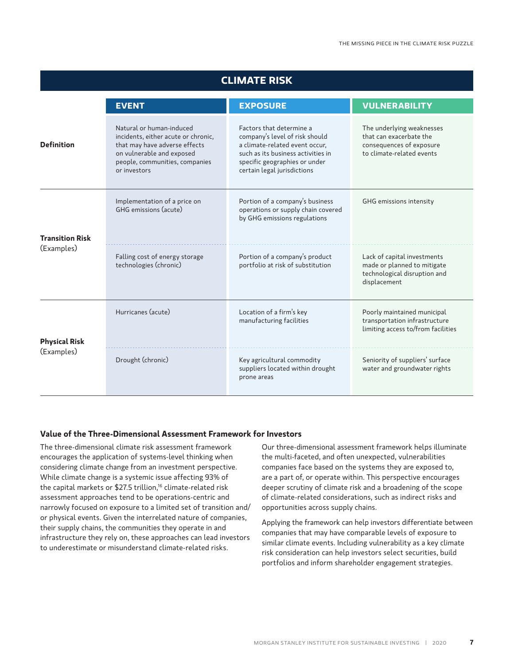| <b>CLIMATE RISK</b>                  |                                                                                                                                                                                 |                                                                                                                                                                                                    |                                                                                                               |
|--------------------------------------|---------------------------------------------------------------------------------------------------------------------------------------------------------------------------------|----------------------------------------------------------------------------------------------------------------------------------------------------------------------------------------------------|---------------------------------------------------------------------------------------------------------------|
|                                      | <b>EVENT</b>                                                                                                                                                                    | <b>EXPOSURE</b>                                                                                                                                                                                    | <b>VULNERABILITY</b>                                                                                          |
| <b>Definition</b>                    | Natural or human-induced<br>incidents, either acute or chronic,<br>that may have adverse effects<br>on vulnerable and exposed<br>people, communities, companies<br>or investors | Factors that determine a<br>company's level of risk should<br>a climate-related event occur,<br>such as its business activities in<br>specific geographies or under<br>certain legal jurisdictions | The underlying weaknesses<br>that can exacerbate the<br>consequences of exposure<br>to climate-related events |
| <b>Transition Risk</b><br>(Examples) | Implementation of a price on<br>GHG emissions (acute)                                                                                                                           | Portion of a company's business<br>operations or supply chain covered<br>by GHG emissions regulations                                                                                              | GHG emissions intensity                                                                                       |
|                                      | Falling cost of energy storage<br>technologies (chronic)                                                                                                                        | Portion of a company's product<br>portfolio at risk of substitution                                                                                                                                | Lack of capital investments<br>made or planned to mitigate<br>technological disruption and<br>displacement    |
| <b>Physical Risk</b><br>(Examples)   | Hurricanes (acute)                                                                                                                                                              | Location of a firm's key<br>manufacturing facilities                                                                                                                                               | Poorly maintained municipal<br>transportation infrastructure<br>limiting access to/from facilities            |
|                                      | Drought (chronic)                                                                                                                                                               | Key agricultural commodity<br>suppliers located within drought<br>prone areas                                                                                                                      | Seniority of suppliers' surface<br>water and groundwater rights                                               |

# **Value of the Three-Dimensional Assessment Framework for Investors**

The three-dimensional climate risk assessment framework encourages the application of systems-level thinking when considering climate change from an investment perspective. While climate change is a systemic issue affecting 93% of the capital markets or \$27.5 trillion,<sup>16</sup> climate-related risk assessment approaches tend to be operations-centric and narrowly focused on exposure to a limited set of transition and/ or physical events. Given the interrelated nature of companies, their supply chains, the communities they operate in and infrastructure they rely on, these approaches can lead investors to underestimate or misunderstand climate-related risks.

Our three-dimensional assessment framework helps illuminate the multi-faceted, and often unexpected, vulnerabilities companies face based on the systems they are exposed to, are a part of, or operate within. This perspective encourages deeper scrutiny of climate risk and a broadening of the scope of climate-related considerations, such as indirect risks and opportunities across supply chains.

Applying the framework can help investors differentiate between companies that may have comparable levels of exposure to similar climate events. Including vulnerability as a key climate risk consideration can help investors select securities, build portfolios and inform shareholder engagement strategies.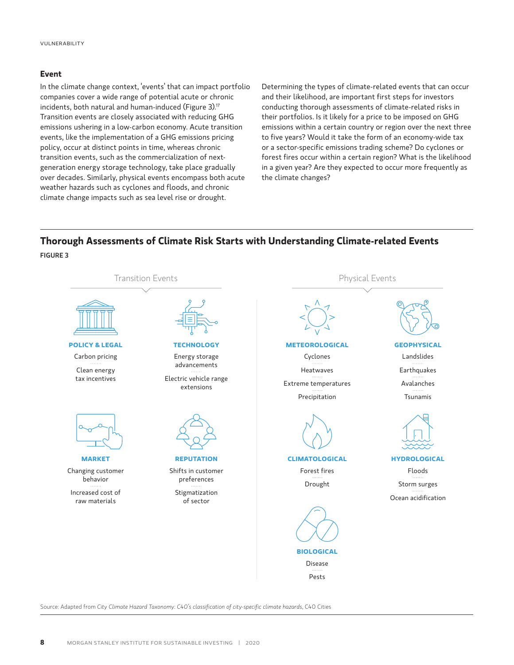### **Event**

In the climate change context, 'events' that can impact portfolio companies cover a wide range of potential acute or chronic incidents, both natural and human-induced (Figure 3).<sup>17</sup> Transition events are closely associated with reducing GHG emissions ushering in a low-carbon economy. Acute transition events, like the implementation of a GHG emissions pricing policy, occur at distinct points in time, whereas chronic transition events, such as the commercialization of nextgeneration energy storage technology, take place gradually over decades. Similarly, physical events encompass both acute weather hazards such as cyclones and floods, and chronic climate change impacts such as sea level rise or drought.

Determining the types of climate-related events that can occur and their likelihood, are important first steps for investors conducting thorough assessments of climate-related risks in their portfolios. Is it likely for a price to be imposed on GHG emissions within a certain country or region over the next three to five years? Would it take the form of an economy-wide tax or a sector-specific emissions trading scheme? Do cyclones or forest fires occur within a certain region? What is the likelihood in a given year? Are they expected to occur more frequently as the climate changes?

# **Thorough Assessments of Climate Risk Starts with Understanding Climate-related Events** FIGURE 3



Source: Adapted from *City Climate Hazard Taxonomy: C40's classification of city-specific climate hazards*, C40 Cities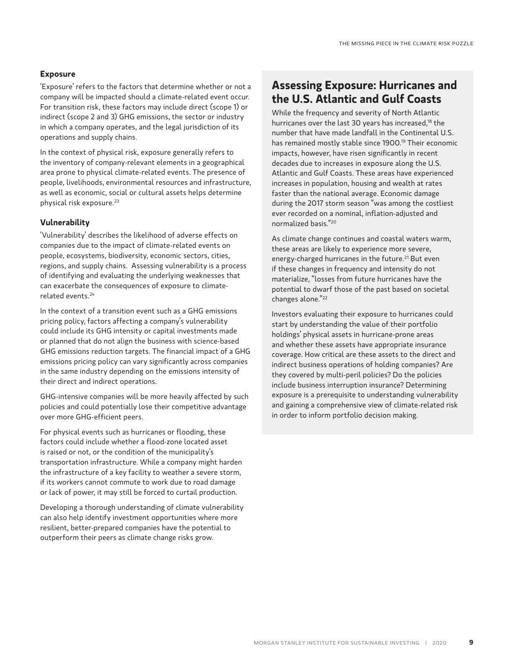# **Exposure**

'Exposure' refers to the factors that determine whether or not a company will be impacted should a climate-related event occur. For transition risk, these factors may include direct (scope 1) or indirect (scope 2 and 3) GHG emissions, the sector or industry in which a company operates, and the legal jurisdiction of its operations and supply chains.

In the context of physical risk, exposure generally refers to the inventory of company-relevant elements in a geographical area prone to physical climate-related events. The presence of people, livelihoods, environmental resources and infrastructure, as well as economic, social or cultural assets helps determine physical risk exposure.23

# **Vulnerability**

'Vulnerability' describes the likelihood of adverse effects on companies due to the impact of climate-related events on people, ecosystems, biodiversity, economic sectors, cities, regions, and supply chains. Assessing vulnerability is a process of identifying and evaluating the underlying weaknesses that can exacerbate the consequences of exposure to climaterelated events.24

In the context of a transition event such as a GHG emissions pricing policy, factors affecting a company's vulnerability could include its GHG intensity or capital investments made or planned that do not align the business with science-based GHG emissions reduction targets. The financial impact of a GHG emissions pricing policy can vary significantly across companies in the same industry depending on the emissions intensity of their direct and indirect operations.

GHG-intensive companies will be more heavily affected by such policies and could potentially lose their competitive advantage over more GHG-efficient peers.

For physical events such as hurricanes or flooding, these factors could include whether a flood-zone located asset is raised or not, or the condition of the municipality's transportation infrastructure. While a company might harden the infrastructure of a key facility to weather a severe storm, if its workers cannot commute to work due to road damage or lack of power, it may still be forced to curtail production.

Developing a thorough understanding of climate vulnerability can also help identify investment opportunities where more resilient, better-prepared companies have the potential to outperform their peers as climate change risks grow.

# **Assessing Exposure: Hurricanes and the U.S. Atlantic and Gulf Coasts**

While the frequency and severity of North Atlantic hurricanes over the last 30 years has increased,<sup>18</sup> the number that have made landfall in the Continental U.S. has remained mostly stable since 1900.<sup>19</sup> Their economic impacts, however, have risen significantly in recent decades due to increases in exposure along the U.S. Atlantic and Gulf Coasts. These areas have experienced increases in population, housing and wealth at rates faster than the national average. Economic damage during the 2017 storm season "was among the costliest ever recorded on a nominal, inflation-adjusted and normalized basis."20

As climate change continues and coastal waters warm, these areas are likely to experience more severe, energy-charged hurricanes in the future.<sup>21</sup> But even if these changes in frequency and intensity do not materialize, "losses from future hurricanes have the potential to dwarf those of the past based on societal changes alone."22

Investors evaluating their exposure to hurricanes could start by understanding the value of their portfolio holdings' physical assets in hurricane-prone areas and whether these assets have appropriate insurance coverage. How critical are these assets to the direct and indirect business operations of holding companies? Are they covered by multi-peril policies? Do the policies include business interruption insurance? Determining exposure is a prerequisite to understanding vulnerability and gaining a comprehensive view of climate-related risk in order to inform portfolio decision making.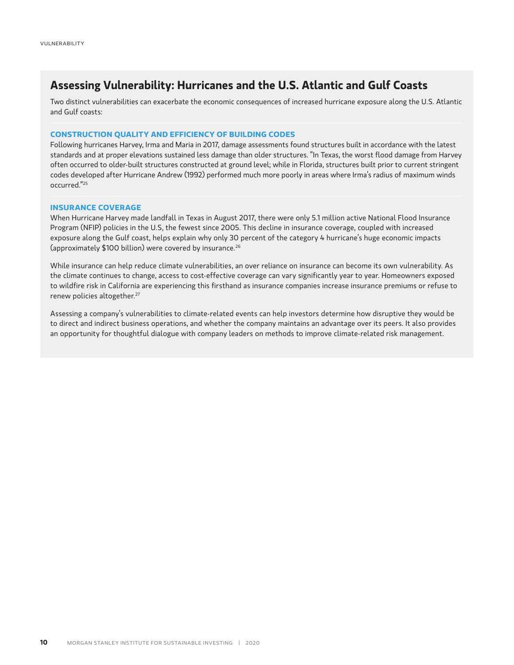# **Assessing Vulnerability: Hurricanes and the U.S. Atlantic and Gulf Coasts**

Two distinct vulnerabilities can exacerbate the economic consequences of increased hurricane exposure along the U.S. Atlantic and Gulf coasts:

## **CONSTRUCTION QUALITY AND EFFICIENCY OF BUILDING CODES**

Following hurricanes Harvey, Irma and Maria in 2017, damage assessments found structures built in accordance with the latest standards and at proper elevations sustained less damage than older structures. "In Texas, the worst flood damage from Harvey often occurred to older-built structures constructed at ground level; while in Florida, structures built prior to current stringent codes developed after Hurricane Andrew (1992) performed much more poorly in areas where Irma's radius of maximum winds occurred."25

# **INSURANCE COVERAGE**

When Hurricane Harvey made landfall in Texas in August 2017, there were only 5.1 million active National Flood Insurance Program (NFIP) policies in the U.S, the fewest since 2005. This decline in insurance coverage, coupled with increased exposure along the Gulf coast, helps explain why only 30 percent of the category 4 hurricane's huge economic impacts (approximately \$100 billion) were covered by insurance.26

While insurance can help reduce climate vulnerabilities, an over reliance on insurance can become its own vulnerability. As the climate continues to change, access to cost-effective coverage can vary significantly year to year. Homeowners exposed to wildfire risk in California are experiencing this firsthand as insurance companies increase insurance premiums or refuse to renew policies altogether.<sup>27</sup>

Assessing a company's vulnerabilities to climate-related events can help investors determine how disruptive they would be to direct and indirect business operations, and whether the company maintains an advantage over its peers. It also provides an opportunity for thoughtful dialogue with company leaders on methods to improve climate-related risk management.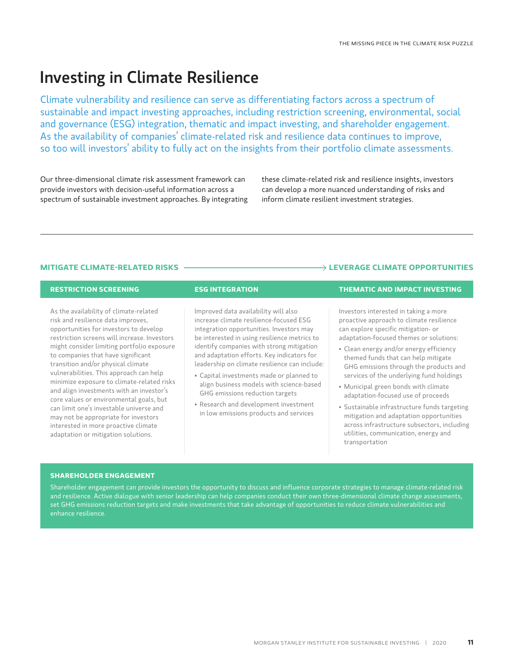# Investing in Climate Resilience

Climate vulnerability and resilience can serve as differentiating factors across a spectrum of sustainable and impact investing approaches, including restriction screening, environmental, social and governance (ESG) integration, thematic and impact investing, and shareholder engagement. As the availability of companies' climate-related risk and resilience data continues to improve, so too will investors' ability to fully act on the insights from their portfolio climate assessments.

Our three-dimensional climate risk assessment framework can provide investors with decision-useful information across a spectrum of sustainable investment approaches. By integrating

these climate-related risk and resilience insights, investors can develop a more nuanced understanding of risks and inform climate resilient investment strategies.

# **MITIGATE CLIMATE-RELATED RISKS**   $\longrightarrow$  **LEVERAGE CLIMATE OPPORTUNITIES**

As the availability of climate-related risk and resilience data improves, opportunities for investors to develop restriction screens will increase. Investors might consider limiting portfolio exposure to companies that have significant transition and/or physical climate vulnerabilities. This approach can help minimize exposure to climate-related risks and align investments with an investor's core values or environmental goals, but can limit one's investable universe and may not be appropriate for investors interested in more proactive climate adaptation or mitigation solutions.

Improved data availability will also increase climate resilience-focused ESG integration opportunities. Investors may be interested in using resilience metrics to identify companies with strong mitigation and adaptation efforts. Key indicators for leadership on climate resilience can include:

- Capital investments made or planned to align business models with science-based GHG emissions reduction targets
- Research and development investment in low emissions products and services

# **RESTRICTION SCREENING ESG INTEGRATION THEMATIC AND IMPACT INVESTING**

Investors interested in taking a more proactive approach to climate resilience can explore specific mitigation- or adaptation-focused themes or solutions:

- Clean energy and/or energy efficiency themed funds that can help mitigate GHG emissions through the products and services of the underlying fund holdings
- Municipal green bonds with climate adaptation-focused use of proceeds
- Sustainable infrastructure funds targeting mitigation and adaptation opportunities across infrastructure subsectors, including utilities, communication, energy and transportation

### **SHAREHOLDER ENGAGEMENT**

Shareholder engagement can provide investors the opportunity to discuss and influence corporate strategies to manage climate-related risk and resilience. Active dialogue with senior leadership can help companies conduct their own three-dimensional climate change assessments, set GHG emissions reduction targets and make investments that take advantage of opportunities to reduce climate vulnerabilities and enhance resilience.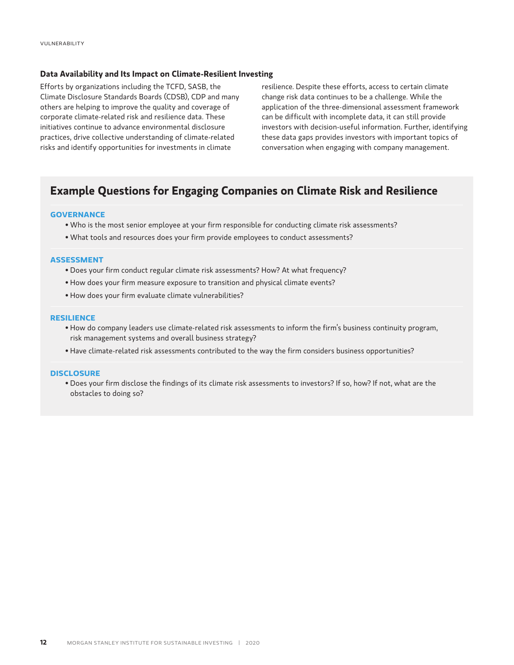# **Data Availability and Its Impact on Climate-Resilient Investing**

Efforts by organizations including the TCFD, SASB, the Climate Disclosure Standards Boards (CDSB), CDP and many others are helping to improve the quality and coverage of corporate climate-related risk and resilience data. These initiatives continue to advance environmental disclosure practices, drive collective understanding of climate-related risks and identify opportunities for investments in climate

resilience. Despite these efforts, access to certain climate change risk data continues to be a challenge. While the application of the three-dimensional assessment framework can be difficult with incomplete data, it can still provide investors with decision-useful information. Further, identifying these data gaps provides investors with important topics of conversation when engaging with company management.

# **Example Questions for Engaging Companies on Climate Risk and Resilience**

## **GOVERNANCE**

- Who is the most senior employee at your firm responsible for conducting climate risk assessments?
- What tools and resources does your firm provide employees to conduct assessments?

# **ASSESSMENT**

- Does your firm conduct regular climate risk assessments? How? At what frequency?
- How does your firm measure exposure to transition and physical climate events?
- How does your firm evaluate climate vulnerabilities?

## **RESILIENCE**

- How do company leaders use climate-related risk assessments to inform the firm's business continuity program, risk management systems and overall business strategy?
- Have climate-related risk assessments contributed to the way the firm considers business opportunities?

### **DISCLOSURE**

• Does your firm disclose the findings of its climate risk assessments to investors? If so, how? If not, what are the obstacles to doing so?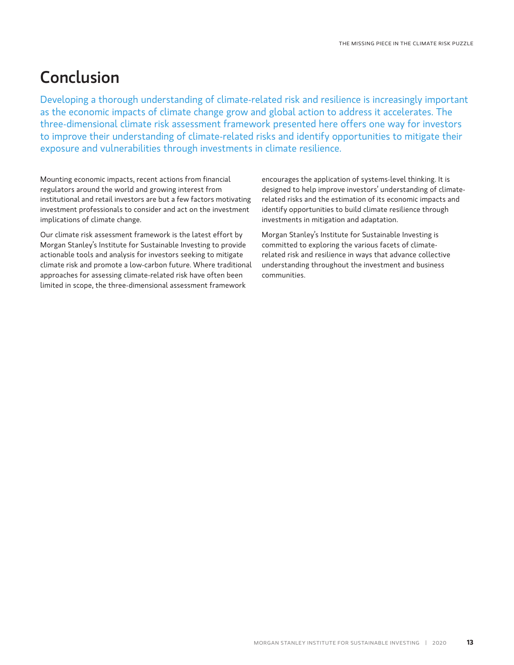# Conclusion

Developing a thorough understanding of climate-related risk and resilience is increasingly important as the economic impacts of climate change grow and global action to address it accelerates. The three-dimensional climate risk assessment framework presented here offers one way for investors to improve their understanding of climate-related risks and identify opportunities to mitigate their exposure and vulnerabilities through investments in climate resilience.

Mounting economic impacts, recent actions from financial regulators around the world and growing interest from institutional and retail investors are but a few factors motivating investment professionals to consider and act on the investment implications of climate change.

Our climate risk assessment framework is the latest effort by Morgan Stanley's Institute for Sustainable Investing to provide actionable tools and analysis for investors seeking to mitigate climate risk and promote a low-carbon future. Where traditional approaches for assessing climate-related risk have often been limited in scope, the three-dimensional assessment framework

encourages the application of systems-level thinking. It is designed to help improve investors' understanding of climaterelated risks and the estimation of its economic impacts and identify opportunities to build climate resilience through investments in mitigation and adaptation.

Morgan Stanley's Institute for Sustainable Investing is committed to exploring the various facets of climaterelated risk and resilience in ways that advance collective understanding throughout the investment and business communities.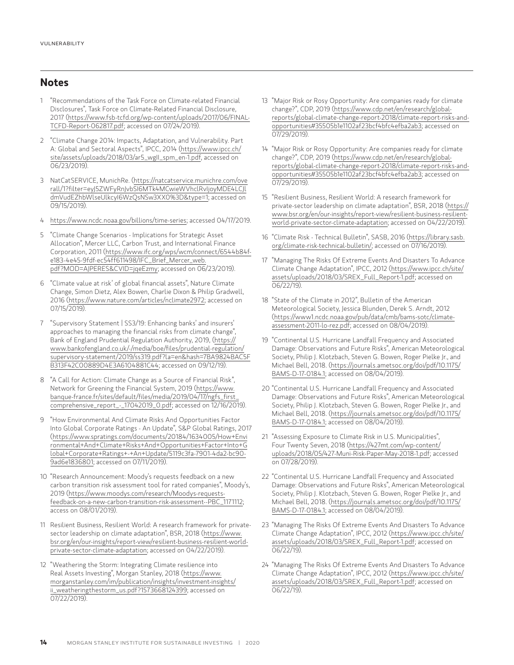# **Notes**

- 1 "Recommendations of the Task Force on Climate-related Financial Disclosures", Task Force on Climate-Related Financial Disclosure, 2017 ([https://www.fsb-tcfd.org/wp-content/uploads/2017/06/FINAL-](https://www.fsb-tcfd.org/wp-content/uploads/2017/06/FINAL-TCFD-Report-062817.pdf)[TCFD-Report-062817.pdf;](https://www.fsb-tcfd.org/wp-content/uploads/2017/06/FINAL-TCFD-Report-062817.pdf) accessed on 07/24/2019).
- 2 "Climate Change 2014: Impacts, Adaptation, and Vulnerability. Part A: Global and Sectoral Aspects", IPCC, 2014 ([https://www.ipcc.ch/](https://www.ipcc.ch/site/assets/uploads/2018/03/ar5_wgII_spm_en-1.pdf) [site/assets/uploads/2018/03/ar5\\_wgII\\_spm\\_en-1.pdf](https://www.ipcc.ch/site/assets/uploads/2018/03/ar5_wgII_spm_en-1.pdf), accessed on 06/23/2019).
- 3 NatCatSERVICE, MunichRe. [\(https://natcatservice.munichre.com/ove](https://natcatservice.munichre.com/overall/1?filter=eyJ5ZWFyRnJvbSI6MTk4MCwieWVhclRvIjoyMDE4LCJldmVudEZhbWlseUlkcyI6WzQsNSw3XX0%3D&type=1) [rall/1?filter=eyJ5ZWFyRnJvbSI6MTk4MCwieWVhclRvIjoyMDE4LCJl](https://natcatservice.munichre.com/overall/1?filter=eyJ5ZWFyRnJvbSI6MTk4MCwieWVhclRvIjoyMDE4LCJldmVudEZhbWlseUlkcyI6WzQsNSw3XX0%3D&type=1) [dmVudEZhbWlseUlkcyI6WzQsNSw3XX0%3D&type=1](https://natcatservice.munichre.com/overall/1?filter=eyJ5ZWFyRnJvbSI6MTk4MCwieWVhclRvIjoyMDE4LCJldmVudEZhbWlseUlkcyI6WzQsNSw3XX0%3D&type=1); accessed on 09/15/2019).
- 4 <https://www.ncdc.noaa.gov/billions/time-series>; accessed 04/17/2019.
- 5 "Climate Change Scenarios Implications for Strategic Asset Allocation", Mercer LLC, Carbon Trust, and International Finance Corporation, 2011 ([https://www.ifc.org/wps/wcm/connect/6544b84f](https://www.ifc.org/wps/wcm/connect/6544b84f-e183-4e45-9fdf-ec54ff611498/IFC_Brief_Mercer_web.pdf?MOD=AJPERES&CVID=jqeEzmy)[e183-4e45-9fdf-ec54ff611498/IFC\\_Brief\\_Mercer\\_web.](https://www.ifc.org/wps/wcm/connect/6544b84f-e183-4e45-9fdf-ec54ff611498/IFC_Brief_Mercer_web.pdf?MOD=AJPERES&CVID=jqeEzmy) [pdf?MOD=AJPERES&CVID=jqeEzmy](https://www.ifc.org/wps/wcm/connect/6544b84f-e183-4e45-9fdf-ec54ff611498/IFC_Brief_Mercer_web.pdf?MOD=AJPERES&CVID=jqeEzmy); accessed on 06/23/2019).
- 6 "Climate value at risk' of global financial assets", Nature Climate Change, Simon Dietz, Alex Bowen, Charlie Dixon & Philip Gradwell, 2016 ([https://www.nature.com/articles/nclimate2972;](https://www.nature.com/articles/nclimate2972) accessed on 07/15/2019).
- 7 "Supervisory Statement | SS3/19: Enhancing banks' and insurers' approaches to managing the financial risks from climate change", Bank of England Prudential Regulation Authority, 2019, ([https://](https://www.bankofengland.co.uk/-/media/boe/files/prudential-regulation/supervisory-statement/2019/ss319.pdf?la=en&hash=7BA9824BAC5FB313F42C00889D4E3A6104881C44) [www.bankofengland.co.uk/-/media/boe/files/prudential-regulation/](https://www.bankofengland.co.uk/-/media/boe/files/prudential-regulation/supervisory-statement/2019/ss319.pdf?la=en&hash=7BA9824BAC5FB313F42C00889D4E3A6104881C44) [supervisory-statement/2019/ss319.pdf?la=en&hash=7BA9824BAC5F](https://www.bankofengland.co.uk/-/media/boe/files/prudential-regulation/supervisory-statement/2019/ss319.pdf?la=en&hash=7BA9824BAC5FB313F42C00889D4E3A6104881C44) [B313F42C00889D4E3A6104881C44](https://www.bankofengland.co.uk/-/media/boe/files/prudential-regulation/supervisory-statement/2019/ss319.pdf?la=en&hash=7BA9824BAC5FB313F42C00889D4E3A6104881C44); accessed on 09/12/19).
- 8 "A Call for Action: Climate Change as a Source of Financial Risk", Network for Greening the Financial System, 2019 ([https://www.](https://www.banque-france.fr/sites/default/files/media/2019/04/17/ngfs_first_comprehensive_report_-_17042019_0.pdf) [banque-france.fr/sites/default/files/media/2019/04/17/ngfs\\_first\\_](https://www.banque-france.fr/sites/default/files/media/2019/04/17/ngfs_first_comprehensive_report_-_17042019_0.pdf) [comprehensive\\_report\\_-\\_17042019\\_0.pdf;](https://www.banque-france.fr/sites/default/files/media/2019/04/17/ngfs_first_comprehensive_report_-_17042019_0.pdf) accessed on 12/16/2019).
- 9 "How Environmental And Climate Risks And Opportunities Factor Into Global Corporate Ratings - An Update", S&P Global Ratings, 2017 ([https://www.spratings.com/documents/20184/1634005/How+Envi](https://www.spratings.com/documents/20184/1634005/How+Environmental+And+Climate+Risks+And+Opportunities+Factor+Into+Global+Corporate+Ratings+-+An+Update/5119c3fa-7901-4da2-bc90-9ad6e1836801) [ronmental+And+Climate+Risks+And+Opportunities+Factor+Into+G](https://www.spratings.com/documents/20184/1634005/How+Environmental+And+Climate+Risks+And+Opportunities+Factor+Into+Global+Corporate+Ratings+-+An+Update/5119c3fa-7901-4da2-bc90-9ad6e1836801) [lobal+Corporate+Ratings+-+An+Update/5119c3fa-7901-4da2-bc90-](https://www.spratings.com/documents/20184/1634005/How+Environmental+And+Climate+Risks+And+Opportunities+Factor+Into+Global+Corporate+Ratings+-+An+Update/5119c3fa-7901-4da2-bc90-9ad6e1836801) [9ad6e1836801](https://www.spratings.com/documents/20184/1634005/How+Environmental+And+Climate+Risks+And+Opportunities+Factor+Into+Global+Corporate+Ratings+-+An+Update/5119c3fa-7901-4da2-bc90-9ad6e1836801); accessed on 07/11/2019).
- 10 "Research Announcement: Moody's requests feedback on a new carbon transition risk assessment tool for rated companies", Moody's, 2019 ([https://www.moodys.com/research/Moodys-requests](https://www.moodys.com/research/Moodys-requests-feedback-on-a-new-carbon-transition-risk-assessment--PBC_1171112)[feedback-on-a-new-carbon-transition-risk-assessment--PBC\\_1171112](https://www.moodys.com/research/Moodys-requests-feedback-on-a-new-carbon-transition-risk-assessment--PBC_1171112); access on 08/01/2019).
- 11 Resilient Business, Resilient World: A research framework for privatesector leadership on climate adaptation", BSR, 2018 ([https://www.](https://www.bsr.org/en/our-insights/report-view/resilient-business-resilient-world-private-sector-climate-adaptation) [bsr.org/en/our-insights/report-view/resilient-business-resilient-world](https://www.bsr.org/en/our-insights/report-view/resilient-business-resilient-world-private-sector-climate-adaptation)[private-sector-climate-adaptation](https://www.bsr.org/en/our-insights/report-view/resilient-business-resilient-world-private-sector-climate-adaptation); accessed on 04/22/2019).
- 12 "Weathering the Storm: Integrating Climate resilience into Real Assets Investing", Morgan Stanley, 2018 ([https://www.](https://www.morganstanley.com/im/publication/insights/investment-insights/ii_weatheringthestorm_us.pdf?1573668124399) [morganstanley.com/im/publication/insights/investment-insights/](https://www.morganstanley.com/im/publication/insights/investment-insights/ii_weatheringthestorm_us.pdf?1573668124399) [ii\\_weatheringthestorm\\_us.pdf?1573668124399](https://www.morganstanley.com/im/publication/insights/investment-insights/ii_weatheringthestorm_us.pdf?1573668124399); accessed on 07/22/2019).
- 13 "Major Risk or Rosy Opportunity: Are companies ready for climate change?", CDP, 2019 [\(https://www.cdp.net/en/research/global](https://www.cdp.net/en/research/global-reports/global-climate-change-report-2018/climate-report-risks-and-opportunities#35505b1e1102af23bcf4bfc4efba2ab3)[reports/global-climate-change-report-2018/climate-report-risks-and](https://www.cdp.net/en/research/global-reports/global-climate-change-report-2018/climate-report-risks-and-opportunities#35505b1e1102af23bcf4bfc4efba2ab3)[opportunities#35505b1e1102af23bcf4bfc4efba2ab3](https://www.cdp.net/en/research/global-reports/global-climate-change-report-2018/climate-report-risks-and-opportunities#35505b1e1102af23bcf4bfc4efba2ab3); accessed on 07/29/2019).
- 14 "Major Risk or Rosy Opportunity: Are companies ready for climate change?", CDP, 2019 [\(https://www.cdp.net/en/research/global](https://www.cdp.net/en/research/global-reports/global-climate-change-report-2018/climate-report-risks-and-opportunities#35505b1e1102af23bcf4bfc4efba2ab3)[reports/global-climate-change-report-2018/climate-report-risks-and](https://www.cdp.net/en/research/global-reports/global-climate-change-report-2018/climate-report-risks-and-opportunities#35505b1e1102af23bcf4bfc4efba2ab3)[opportunities#35505b1e1102af23bcf4bfc4efba2ab3](https://www.cdp.net/en/research/global-reports/global-climate-change-report-2018/climate-report-risks-and-opportunities#35505b1e1102af23bcf4bfc4efba2ab3); accessed on 07/29/2019).
- 15 "Resilient Business, Resilient World: A research framework for private-sector leadership on climate adaptation", BSR, 2018 [\(https://](https://www.bsr.org/en/our-insights/report-view/resilient-business-resilient-world-private-sector-climate-adaptation) [www.bsr.org/en/our-insights/report-view/resilient-business-resilient](https://www.bsr.org/en/our-insights/report-view/resilient-business-resilient-world-private-sector-climate-adaptation)[world-private-sector-climate-adaptation;](https://www.bsr.org/en/our-insights/report-view/resilient-business-resilient-world-private-sector-climate-adaptation) accessed on 04/22/2019).
- 16 "Climate Risk Technical Bulletin", SASB, 2016 [\(https://library.sasb.](https://www.sasb.org/knowledge-hub/climate-risk-technical-bulletin/) [org/climate-risk-technical-bulletin/;](https://www.sasb.org/knowledge-hub/climate-risk-technical-bulletin/) accessed on 07/16/2019).
- 17 "Managing The Risks Of Extreme Events And Disasters To Advance Climate Change Adaptation", IPCC, 2012 ([https://www.ipcc.ch/site/](https://www.ipcc.ch/site/assets/uploads/2018/03/SREX_Full_Report-1.pdf) [assets/uploads/2018/03/SREX\\_Full\\_Report-1.pdf](https://www.ipcc.ch/site/assets/uploads/2018/03/SREX_Full_Report-1.pdf); accessed on 06/22/19).
- 18 "State of the Climate in 2012", Bulletin of the American Meteorological Society, Jessica Blunden, Derek S. Arndt, 2012 ([https://www1.ncdc.noaa.gov/pub/data/cmb/bams-sotc/climate](https://www1.ncdc.noaa.gov/pub/data/cmb/bams-sotc/climate-assessment-2011-lo-rez.pdf)[assessment-2011-lo-rez.pdf](https://www1.ncdc.noaa.gov/pub/data/cmb/bams-sotc/climate-assessment-2011-lo-rez.pdf); accessed on 08/04/2019).
- 19 "Continental U.S. Hurricane Landfall Frequency and Associated Damage: Observations and Future Risks", American Meteorological Society, Philip J. Klotzbach, Steven G. Bowen, Roger Pielke Jr., and Michael Bell, 2018. [\(https://journals.ametsoc.org/doi/pdf/10.1175/](https://journals.ametsoc.org/doi/pdf/10.1175/BAMS-D-17-0184.1) [BAMS-D-17-0184.1](https://journals.ametsoc.org/doi/pdf/10.1175/BAMS-D-17-0184.1); accessed on 08/04/2019).
- 20 "Continental U.S. Hurricane Landfall Frequency and Associated Damage: Observations and Future Risks", American Meteorological Society, Philip J. Klotzbach, Steven G. Bowen, Roger Pielke Jr., and Michael Bell, 2018. [\(https://journals.ametsoc.org/doi/pdf/10.1175/](https://journals.ametsoc.org/doi/pdf/10.1175/BAMS-D-17-0184.1) [BAMS-D-17-0184.1](https://journals.ametsoc.org/doi/pdf/10.1175/BAMS-D-17-0184.1); accessed on 08/04/2019).
- 21 "Assessing Exposure to Climate Risk in U.S. Municipalities", Four Twenty Seven, 2018 [\(https://427mt.com/wp-content/](https://427mt.com/wp-content/uploads/2018/05/427-Muni-Risk-Paper-May-2018-1.pdf) [uploads/2018/05/427-Muni-Risk-Paper-May-2018-1.pdf](https://427mt.com/wp-content/uploads/2018/05/427-Muni-Risk-Paper-May-2018-1.pdf); accessed on 07/28/2019).
- 22 "Continental U.S. Hurricane Landfall Frequency and Associated Damage: Observations and Future Risks", American Meteorological Society, Philip J. Klotzbach, Steven G. Bowen, Roger Pielke Jr., and Michael Bell, 2018. [\(https://journals.ametsoc.org/doi/pdf/10.1175/](https://journals.ametsoc.org/doi/pdf/10.1175/BAMS-D-17-0184.1) [BAMS-D-17-0184.1](https://journals.ametsoc.org/doi/pdf/10.1175/BAMS-D-17-0184.1); accessed on 08/04/2019).
- 23 "Managing The Risks Of Extreme Events And Disasters To Advance Climate Change Adaptation", IPCC, 2012 ([https://www.ipcc.ch/site/](https://www.ipcc.ch/site/assets/uploads/2018/03/SREX_Full_Report-1.pdf) [assets/uploads/2018/03/SREX\\_Full\\_Report-1.pdf](https://www.ipcc.ch/site/assets/uploads/2018/03/SREX_Full_Report-1.pdf); accessed on 06/22/19).
- 24 "Managing The Risks Of Extreme Events And Disasters To Advance Climate Change Adaptation", IPCC, 2012 ([https://www.ipcc.ch/site/](https://www.ipcc.ch/site/assets/uploads/2018/03/SREX_Full_Report-1.pdf) [assets/uploads/2018/03/SREX\\_Full\\_Report-1.pdf](https://www.ipcc.ch/site/assets/uploads/2018/03/SREX_Full_Report-1.pdf); accessed on 06/22/19).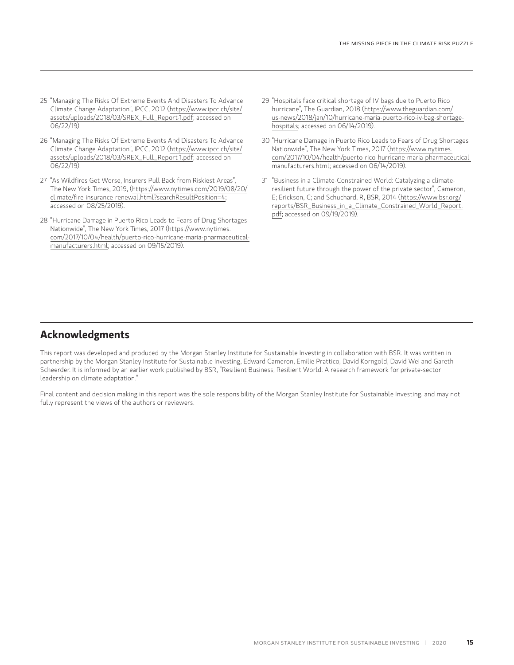- 25 "Managing The Risks Of Extreme Events And Disasters To Advance Climate Change Adaptation", IPCC, 2012 ([https://www.ipcc.ch/site/](https://www.ipcc.ch/site/assets/uploads/2018/03/SREX_Full_Report-1.pdf) [assets/uploads/2018/03/SREX\\_Full\\_Report-1.pdf](https://www.ipcc.ch/site/assets/uploads/2018/03/SREX_Full_Report-1.pdf); accessed on 06/22/19).
- 26 "Managing The Risks Of Extreme Events And Disasters To Advance Climate Change Adaptation", IPCC, 2012 ([https://www.ipcc.ch/site/](https://www.ipcc.ch/site/assets/uploads/2018/03/SREX_Full_Report-1.pdf) [assets/uploads/2018/03/SREX\\_Full\\_Report-1.pdf](https://www.ipcc.ch/site/assets/uploads/2018/03/SREX_Full_Report-1.pdf); accessed on 06/22/19).
- 27 "As Wildfires Get Worse, Insurers Pull Back from Riskiest Areas", The New York Times, 2019, ([https://www.nytimes.com/2019/08/20/](https://www.nytimes.com/2019/08/20/climate/fire-insurance-renewal.html?searchResultPosition=4) [climate/fire-insurance-renewal.html?searchResultPosition=4;](https://www.nytimes.com/2019/08/20/climate/fire-insurance-renewal.html?searchResultPosition=4) accessed on 08/25/2019).
- 28 "Hurricane Damage in Puerto Rico Leads to Fears of Drug Shortages Nationwide", The New York Times, 2017 [\(https://www.nytimes.](https://www.nytimes.com/2017/10/04/health/puerto-rico-hurricane-maria-pharmaceutical-manufacturers.html) [com/2017/10/04/health/puerto-rico-hurricane-maria-pharmaceutical](https://www.nytimes.com/2017/10/04/health/puerto-rico-hurricane-maria-pharmaceutical-manufacturers.html)[manufacturers.html;](https://www.nytimes.com/2017/10/04/health/puerto-rico-hurricane-maria-pharmaceutical-manufacturers.html) accessed on 09/15/2019).
- 29 "Hospitals face critical shortage of IV bags due to Puerto Rico hurricane", The Guardian, 2018 ([https://www.theguardian.com/](https://www.theguardian.com/us-news/2018/jan/10/hurricane-maria-puerto-rico-iv-bag-shortage-hospitals) [us-news/2018/jan/10/hurricane-maria-puerto-rico-iv-bag-shortage](https://www.theguardian.com/us-news/2018/jan/10/hurricane-maria-puerto-rico-iv-bag-shortage-hospitals)[hospitals](https://www.theguardian.com/us-news/2018/jan/10/hurricane-maria-puerto-rico-iv-bag-shortage-hospitals); accessed on 06/14/2019).
- 30 "Hurricane Damage in Puerto Rico Leads to Fears of Drug Shortages Nationwide", The New York Times, 2017 [\(https://www.nytimes.](https://www.nytimes.com/2017/10/04/health/puerto-rico-hurricane-maria-pharmaceutical-manufacturers.html) [com/2017/10/04/health/puerto-rico-hurricane-maria-pharmaceutical](https://www.nytimes.com/2017/10/04/health/puerto-rico-hurricane-maria-pharmaceutical-manufacturers.html)[manufacturers.html;](https://www.nytimes.com/2017/10/04/health/puerto-rico-hurricane-maria-pharmaceutical-manufacturers.html) accessed on 06/14/2019).
- 31 "Business in a Climate-Constrained World: Catalyzing a climateresilient future through the power of the private sector", Cameron, E; Erickson, C; and Schuchard, R, BSR, 2014 [\(https://www.bsr.org/](https://www.bsr.org/reports/BSR_Business_in_a_Climate_Constrained_World_Report.pdf) [reports/BSR\\_Business\\_in\\_a\\_Climate\\_Constrained\\_World\\_Report.](https://www.bsr.org/reports/BSR_Business_in_a_Climate_Constrained_World_Report.pdf) [pdf;](https://www.bsr.org/reports/BSR_Business_in_a_Climate_Constrained_World_Report.pdf) accessed on 09/19/2019).

# **Acknowledgments**

This report was developed and produced by the Morgan Stanley Institute for Sustainable Investing in collaboration with BSR. It was written in partnership by the Morgan Stanley Institute for Sustainable Investing, Edward Cameron, Emilie Prattico, David Korngold, David Wei and Gareth Scheerder. It is informed by an earlier work published by BSR, "Resilient Business, Resilient World: A research framework for private-sector leadership on climate adaptation."

Final content and decision making in this report was the sole responsibility of the Morgan Stanley Institute for Sustainable Investing, and may not fully represent the views of the authors or reviewers.